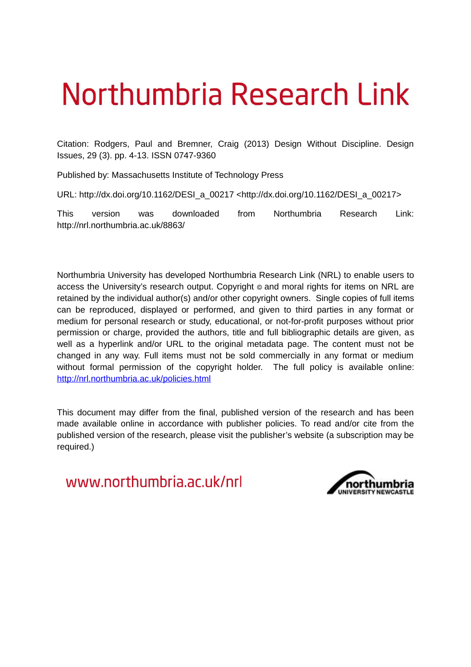# Northumbria Research Link

Citation: Rodgers, Paul and Bremner, Craig (2013) Design Without Discipline. Design Issues, 29 (3). pp. 4-13. ISSN 0747-9360

Published by: Massachusetts Institute of Technology Press

URL: http://dx.doi.org/10.1162/DESI\_a\_00217 <http://dx.doi.org/10.1162/DESI\_a\_00217>

This version was downloaded from Northumbria Research Link: http://nrl.northumbria.ac.uk/8863/

Northumbria University has developed Northumbria Research Link (NRL) to enable users to access the University's research output. Copyright © and moral rights for items on NRL are retained by the individual author(s) and/or other copyright owners. Single copies of full items can be reproduced, displayed or performed, and given to third parties in any format or medium for personal research or study, educational, or not-for-profit purposes without prior permission or charge, provided the authors, title and full bibliographic details are given, as well as a hyperlink and/or URL to the original metadata page. The content must not be changed in any way. Full items must not be sold commercially in any format or medium without formal permission of the copyright holder. The full policy is available online: <http://nrl.northumbria.ac.uk/policies.html>

This document may differ from the final, published version of the research and has been made available online in accordance with publisher policies. To read and/or cite from the published version of the research, please visit the publisher's website (a subscription may be required.)

www.northumbria.ac.uk/nrl

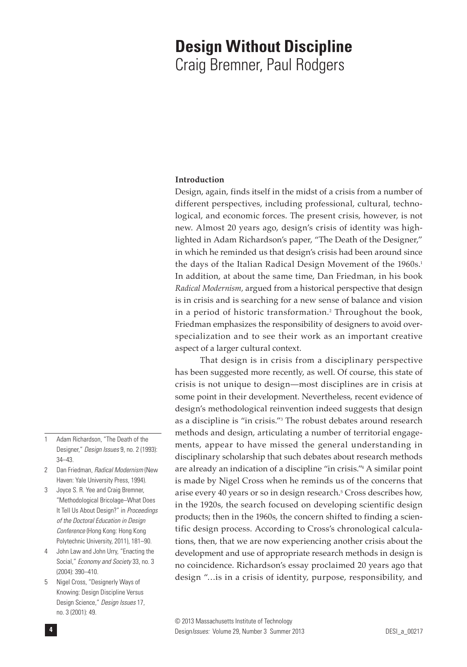## **Design Without Discipline**

Craig Bremner, Paul Rodgers

#### **Introduction**

Design, again, finds itself in the midst of a crisis from a number of different perspectives, including professional, cultural, technological, and economic forces. The present crisis, however, is not new. Almost 20 years ago, design's crisis of identity was highlighted in Adam Richardson's paper, "The Death of the Designer," in which he reminded us that design's crisis had been around since the days of the Italian Radical Design Movement of the 1960s.<sup>1</sup> In addition, at about the same time, Dan Friedman, in his book *Radical Modernism,* argued from a historical perspective that design is in crisis and is searching for a new sense of balance and vision in a period of historic transformation.<sup>2</sup> Throughout the book, Friedman emphasizes the responsibility of designers to avoid overspecialization and to see their work as an important creative aspect of a larger cultural context.

 That design is in crisis from a disciplinary perspective has been suggested more recently, as well. Of course, this state of crisis is not unique to design—most disciplines are in crisis at some point in their development. Nevertheless, recent evidence of design's methodological reinvention indeed suggests that design as a discipline is "in crisis."<sup>3</sup> The robust debates around research methods and design, articulating a number of territorial engagements, appear to have missed the general understanding in disciplinary scholarship that such debates about research methods are already an indication of a discipline "in crisis."<sup>4</sup> A similar point is made by Nigel Cross when he reminds us of the concerns that arise every 40 years or so in design research.<sup>5</sup> Cross describes how, in the 1920s, the search focused on developing scientific design products; then in the 1960s, the concern shifted to finding a scientific design process. According to Cross's chronological calculations, then, that we are now experiencing another crisis about the development and use of appropriate research methods in design is no coincidence. Richardson's essay proclaimed 20 years ago that design "…is in a crisis of identity, purpose, responsibility, and

- 1 Adam Richardson, "The Death of the Designer," Design Issues 9, no. 2 (1993): 34–43.
- 2 Dan Friedman, Radical Modernism (New Haven: Yale University Press, 1994).
- 3 Joyce S. R. Yee and Craig Bremner, "Methodological Bricolage–What Does It Tell Us About Design?" in Proceedings of the Doctoral Education in Design Conference (Hong Kong: Hong Kong Polytechnic University, 2011), 181–90.
- 4 John Law and John Urry, "Enacting the Social," Economy and Society 33, no. 3 (2004): 390–410.
- 5 Nigel Cross, "Designerly Ways of Knowing: Design Discipline Versus Design Science," Design Issues 17, no. 3 (2001): 49.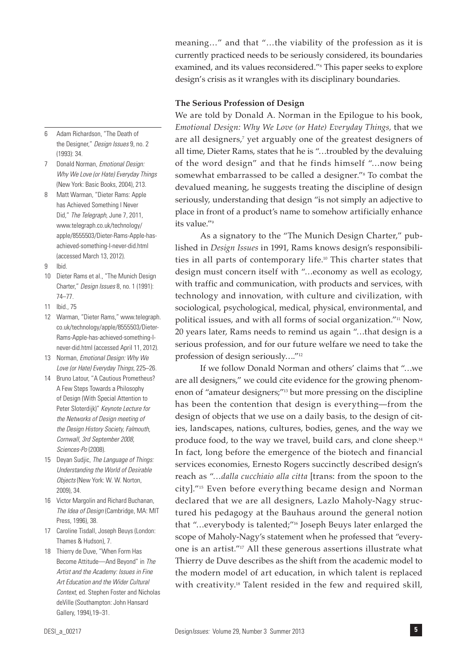meaning…" and that "…the viability of the profession as it is currently practiced needs to be seriously considered, its boundaries examined, and its values reconsidered."<sup>6</sup> This paper seeks to explore design's crisis as it wrangles with its disciplinary boundaries.

### **The Serious Profession of Design**

We are told by Donald A. Norman in the Epilogue to his book, *Emotional Design: Why We Love (or Hate) Everyday Things,* that we are all designers,<sup>7</sup> yet arguably one of the greatest designers of all time, Dieter Rams, states that he is "…troubled by the devaluing of the word design" and that he finds himself "…now being somewhat embarrassed to be called a designer."<sup>8</sup> To combat the devalued meaning, he suggests treating the discipline of design seriously, understanding that design "is not simply an adjective to place in front of a product's name to somehow artificially enhance its value."<sup>9</sup>

 As a signatory to the "The Munich Design Charter," published in *Design Issues* in 1991, Rams knows design's responsibilities in all parts of contemporary life.10 This charter states that design must concern itself with "…economy as well as ecology, with traffic and communication, with products and services, with technology and innovation, with culture and civilization, with sociological, psychological, medical, physical, environmental, and political issues, and with all forms of social organization."11 Now, 20 years later, Rams needs to remind us again "…that design is a serious profession, and for our future welfare we need to take the profession of design seriously…."<sup>12</sup>

 If we follow Donald Norman and others' claims that "…we are all designers," we could cite evidence for the growing phenomenon of "amateur designers;"13 but more pressing on the discipline has been the contention that design is everything—from the design of objects that we use on a daily basis, to the design of cities, landscapes, nations, cultures, bodies, genes, and the way we produce food, to the way we travel, build cars, and clone sheep.<sup>14</sup> In fact, long before the emergence of the biotech and financial services economies, Ernesto Rogers succinctly described design's reach as "*…dalla cucchiaio alla citta* [trans: from the spoon to the city]."15 Even before everything became design and Norman declared that we are all designers, Lazlo Maholy-Nagy structured his pedagogy at the Bauhaus around the general notion that "…everybody is talented;"16 Joseph Beuys later enlarged the scope of Maholy-Nagy's statement when he professed that "everyone is an artist."17 All these generous assertions illustrate what Thierry de Duve describes as the shift from the academic model to the modern model of art education, in which talent is replaced with creativity.<sup>18</sup> Talent resided in the few and required skill,

- 6 Adam Richardson, "The Death of the Designer," Design Issues 9, no. 2 (1993): 34.
- 7 Donald Norman, Emotional Design: Why We Love (or Hate) Everyday Things (New York: Basic Books, 2004), 213.
- 8 Matt Warman, "Dieter Rams: Apple has Achieved Something I Never Did," The Telegraph, June 7, 2011, www.telegraph.co.uk/technology/ apple/8555503/Dieter-Rams-Apple-hasachieved-something-I-never-did.html (accessed March 13, 2012).
- 9 Ibid.
- 10 Dieter Rams et al., "The Munich Design Charter," Design Issues 8, no. 1 (1991): 74–77.
- 11 Ibid., 75
- 12 Warman, "Dieter Rams," www.telegraph. co.uk/technology/apple/8555503/Dieter-Rams-Apple-has-achieved-something-Inever-did.html (accessed April 11, 2012).
- 13 Norman, Emotional Design: Why We Love (or Hate) Everyday Things, 225–26.
- 14 Bruno Latour, "A Cautious Prometheus? A Few Steps Towards a Philosophy of Design (With Special Attention to Peter Sloterdijk)" Keynote Lecture for the Networks of Design meeting of the Design History Society, Falmouth, Cornwall, 3rd September 2008, Sciences-Po (2008).
- 15 Deyan Sudjic, The Language of Things: Understanding the World of Desirable Objects (New York: W. W. Norton, 2009), 34.
- 16 Victor Margolin and Richard Buchanan, The Idea of Design (Cambridge, MA: MIT Press, 1996), 38.
- 17 Caroline Tisdall, Joseph Beuys (London: Thames & Hudson), 7.
- 18 Thierry de Duve, "When Form Has Become Attitude—And Beyond" in The Artist and the Academy: Issues in Fine Art Education and the Wider Cultural Context, ed. Stephen Foster and Nicholas deVille (Southampton: John Hansard Gallery, 1994),19–31.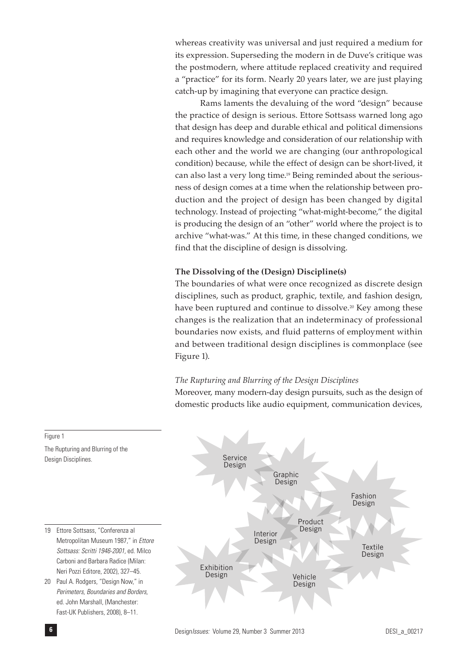whereas creativity was universal and just required a medium for its expression. Superseding the modern in de Duve's critique was the postmodern, where attitude replaced creativity and required a "practice" for its form. Nearly 20 years later, we are just playing catch-up by imagining that everyone can practice design.

 Rams laments the devaluing of the word "design" because the practice of design is serious. Ettore Sottsass warned long ago that design has deep and durable ethical and political dimensions and requires knowledge and consideration of our relationship with each other and the world we are changing (our anthropological condition) because, while the effect of design can be short-lived, it can also last a very long time.19 Being reminded about the seriousness of design comes at a time when the relationship between production and the project of design has been changed by digital technology. Instead of projecting "what-might-become," the digital is producing the design of an "other" world where the project is to archive "what-was." At this time, in these changed conditions, we find that the discipline of design is dissolving.

#### **The Dissolving of the (Design) Discipline(s)**

The boundaries of what were once recognized as discrete design disciplines, such as product, graphic, textile, and fashion design, have been ruptured and continue to dissolve.<sup>20</sup> Key among these changes is the realization that an indeterminacy of professional boundaries now exists, and fluid patterns of employment within and between traditional design disciplines is commonplace (see Figure 1).

#### *The Rupturing and Blurring of the Design Disciplines*

Moreover, many modern-day design pursuits, such as the design of domestic products like audio equipment, communication devices,

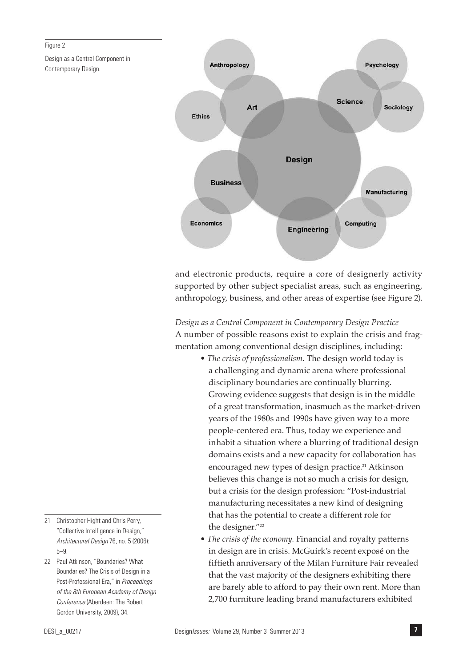#### Figure 2

Design as a Central Component in Contemporary Design.



and electronic products, require a core of designerly activity supported by other subject specialist areas, such as engineering, anthropology, business, and other areas of expertise (see Figure 2).

*Design as a Central Component in Contemporary Design Practice* A number of possible reasons exist to explain the crisis and fragmentation among conventional design disciplines, including:

- *The crisis of professionalism*. The design world today is a challenging and dynamic arena where professional disciplinary boundaries are continually blurring. Growing evidence suggests that design is in the middle of a great transformation, inasmuch as the market-driven years of the 1980s and 1990s have given way to a more people-centered era. Thus, today we experience and inhabit a situation where a blurring of traditional design domains exists and a new capacity for collaboration has encouraged new types of design practice.<sup>21</sup> Atkinson believes this change is not so much a crisis for design, but a crisis for the design profession: "Post-industrial manufacturing necessitates a new kind of designing that has the potential to create a different role for the designer."<sup>22</sup>
- *The crisis of the economy*. Financial and royalty patterns in design are in crisis. McGuirk's recent exposé on the fiftieth anniversary of the Milan Furniture Fair revealed that the vast majority of the designers exhibiting there are barely able to afford to pay their own rent. More than 2,700 furniture leading brand manufacturers exhibited
- 21 Christopher Hight and Chris Perry, "Collective Intelligence in Design," Architectural Design 76, no. 5 (2006): 5–9.
- 22 Paul Atkinson, "Boundaries? What Boundaries? The Crisis of Design in a Post-Professional Era," in Proceedings of the 8th European Academy of Design Conference (Aberdeen: The Robert Gordon University, 2009), 34.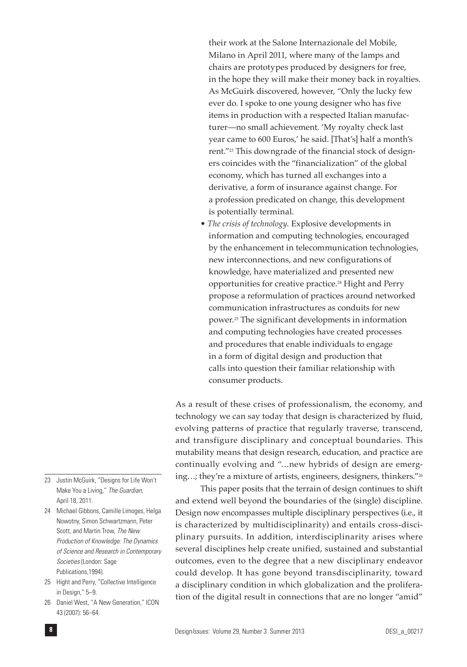their work at the Salone Internazionale del Mobile, Milano in April 2011, where many of the lamps and chairs are prototypes produced by designers for free, in the hope they will make their money back in royalties. As McGuirk discovered, however, "Only the lucky few ever do. I spoke to one young designer who has five items in production with a respected Italian manufac turer—no small achievement. 'My royalty check last year came to 600 Euros,' he said. [That's] half a month's rent."23 This downgrade of the financial stock of design ers coincides with the "financialization" of the global economy, which has turned all exchanges into a derivative, a form of insurance against change. For a profession predicated on change, this development is potentially terminal.

 • *The crisis of technology.* Explosive developments in information and computing technologies, encouraged by the enhancement in telecommunication technologies, new interconnections, and new configurations of knowledge, have materialized and presented new opportunities for creative practice.<sup>24</sup> Hight and Perry propose a reformulation of practices around networked communication infrastructures as conduits for new power.25 The significant developments in information and computing technologies have created processes and procedures that enable individuals to engage in a form of digital design and production that calls into question their familiar relationship with consumer products.

As a result of these crises of professionalism, the economy, and technology we can say today that design is characterized by fluid, evolving patterns of practice that regularly traverse, transcend, and transfigure disciplinary and conceptual boundaries. This mutability means that design research, education, and practice are continually evolving and "…new hybrids of design are emerging…; they're a mixture of artists, engineers, designers, thinkers." 26

 This paper posits that the terrain of design continues to shift and extend well beyond the boundaries of the (single) discipline. Design now encompasses multiple disciplinary perspectives (i.e., it is characterized by multidisciplinarity) and entails cross-disciplinary pursuits. In addition, interdisciplinarity arises where several disciplines help create unified, sustained and substantial outcomes, even to the degree that a new disciplinary endeavor could develop. It has gone beyond transdisciplinarity, toward a disciplinary condition in which globalization and the proliferation of the digital result in connections that are no longer "amid"

- 23 Justin McGuirk, "Designs for Life Won't Make You a Living," The Guardian, April 18, 2011.
- 24 Michael Gibbons, Camille Limoges, Helga Nowotny, Simon Schwartzmann, Peter Scott, and Martin Trow, The New Production of Knowledge: The Dynamics of Science and Research in Contemporary Societies (London: Sage Publications,1994).
- 25 Hight and Perry, "Collective Intelligence in Design," 5–9.
- 26 Daniel West, "A New Generation," ICON 43 (2007): 56–64.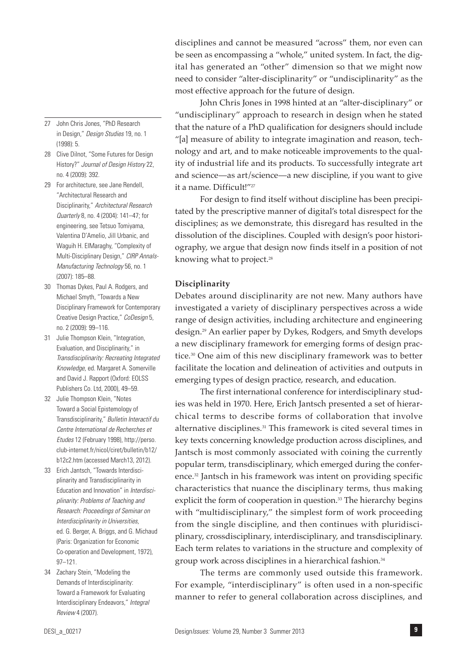- 27 John Chris Jones, "PhD Research in Design," Design Studies 19, no. 1 (1998): 5.
- 28 Clive Dilnot, "Some Futures for Design History?" Journal of Design History 22, no. 4 (2009): 392.
- 29 For architecture, see Jane Rendell, "Architectural Research and Disciplinarity," Architectural Research Quarterly 8, no. 4 (2004): 141–47; for engineering, see Tetsuo Tomiyama, Valentina D'Amelio, Jill Urbanic, and Waguih H. ElMaraghy, "Complexity of Multi-Disciplinary Design," CIRP Annals-Manufacturing Technology 56, no. 1 (2007): 185–88.
- 30 Thomas Dykes, Paul A. Rodgers, and Michael Smyth, "Towards a New Disciplinary Framework for Contemporary Creative Design Practice," CoDesign 5, no. 2 (2009): 99–116.
- 31 Julie Thompson Klein, "Integration, Evaluation, and Disciplinarity," in Transdisciplinarity: Recreating Integrated Knowledge, ed. Margaret A. Somerville and David J. Rapport (Oxford: EOLSS Publishers Co. Ltd, 2000), 49–59.
- 32 Julie Thompson Klein, "Notes Toward a Social Epistemology of Transdisciplinarity," Bulletin Interactif du Centre International de Recherches et Etudes 12 (February 1998), http://perso. club-internet.fr/nicol/ciret/bulletin/b12/ b12c2.htm (accessed March13, 2012).
- 33 Erich Jantsch, "Towards Interdisciplinarity and Transdisciplinarity in Education and Innovation" in Interdisciplinarity: Problems of Teaching and Research: Proceedings of Seminar on Interdisciplinarity in Universities, ed. G. Berger, A. Briggs, and G. Michaud (Paris: Organization for Economic Co-operation and Development, 1972), 97–121.
- 34 Zachary Stein, "Modeling the Demands of Interdisciplinarity: Toward a Framework for Evaluating Interdisciplinary Endeavors," Integral Review 4 (2007).

disciplines and cannot be measured "across" them, nor even can be seen as encompassing a "whole," united system. In fact, the digital has generated an "other" dimension so that we might now need to consider "alter-disciplinarity" or "undisciplinarity" as the most effective approach for the future of design.

 John Chris Jones in 1998 hinted at an "alter-disciplinary" or "undisciplinary" approach to research in design when he stated that the nature of a PhD qualification for designers should include "[a] measure of ability to integrate imagination and reason, technology and art, and to make noticeable improvements to the quality of industrial life and its products. To successfully integrate art and science—as art/science—a new discipline, if you want to give it a name. Difficult!"<sup>27</sup>

 For design to find itself without discipline has been precipitated by the prescriptive manner of digital's total disrespect for the disciplines; as we demonstrate, this disregard has resulted in the dissolution of the disciplines. Coupled with design's poor historiography, we argue that design now finds itself in a position of not knowing what to project.<sup>28</sup>

#### **Disciplinarity**

Debates around disciplinarity are not new. Many authors have investigated a variety of disciplinary perspectives across a wide range of design activities, including architecture and engineering design.29 An earlier paper by Dykes, Rodgers, and Smyth develops a new disciplinary framework for emerging forms of design practice.30 One aim of this new disciplinary framework was to better facilitate the location and delineation of activities and outputs in emerging types of design practice, research, and education.

 The first international conference for interdisciplinary studies was held in 1970. Here, Erich Jantsch presented a set of hierarchical terms to describe forms of collaboration that involve alternative disciplines.31 This framework is cited several times in key texts concerning knowledge production across disciplines, and Jantsch is most commonly associated with coining the currently popular term, transdisciplinary, which emerged during the conference.32 Jantsch in his framework was intent on providing specific characteristics that nuance the disciplinary terms, thus making explicit the form of cooperation in question.<sup>33</sup> The hierarchy begins with "multidisciplinary," the simplest form of work proceeding from the single discipline, and then continues with pluridisciplinary, crossdisciplinary, interdisciplinary, and transdisciplinary. Each term relates to variations in the structure and complexity of group work across disciplines in a hierarchical fashion.<sup>34</sup>

 The terms are commonly used outside this framework. For example, "interdisciplinary" is often used in a non-specific manner to refer to general collaboration across disciplines, and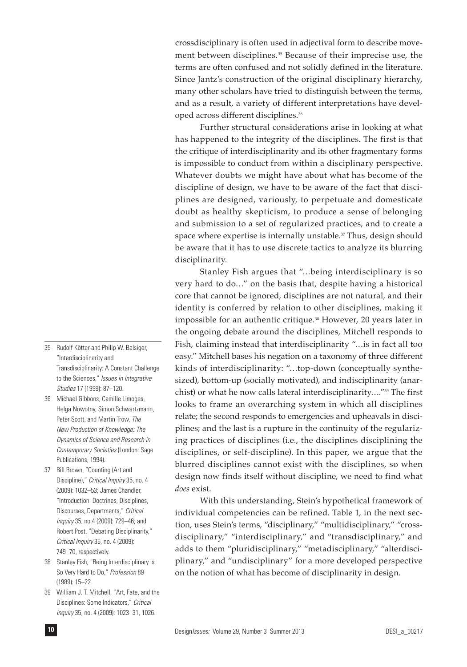crossdisciplinary is often used in adjectival form to describe movement between disciplines.<sup>35</sup> Because of their imprecise use, the terms are often confused and not solidly defined in the literature. Since Jantz's construction of the original disciplinary hierarchy, many other scholars have tried to distinguish between the terms, and as a result, a variety of different interpretations have developed across different disciplines.<sup>36</sup>

 Further structural considerations arise in looking at what has happened to the integrity of the disciplines. The first is that the critique of interdisciplinarity and its other fragmentary forms is impossible to conduct from within a disciplinary perspective. Whatever doubts we might have about what has become of the discipline of design, we have to be aware of the fact that disciplines are designed, variously, to perpetuate and domesticate doubt as healthy skepticism, to produce a sense of belonging and submission to a set of regularized practices, and to create a space where expertise is internally unstable.<sup>37</sup> Thus, design should be aware that it has to use discrete tactics to analyze its blurring disciplinarity.

 Stanley Fish argues that "…being interdisciplinary is so very hard to do…" on the basis that, despite having a historical core that cannot be ignored, disciplines are not natural, and their identity is conferred by relation to other disciplines, making it impossible for an authentic critique.38 However, 20 years later in the ongoing debate around the disciplines, Mitchell responds to Fish, claiming instead that interdisciplinarity "…is in fact all too easy." Mitchell bases his negation on a taxonomy of three different kinds of interdisciplinarity: "…top-down (conceptually synthesized), bottom-up (socially motivated), and indisciplinarity (anarchist) or what he now calls lateral interdisciplinarity...."<sup>39</sup> The first looks to frame an overarching system in which all disciplines relate; the second responds to emergencies and upheavals in disciplines; and the last is a rupture in the continuity of the regularizing practices of disciplines (i.e., the disciplines disciplining the disciplines, or self-discipline). In this paper, we argue that the blurred disciplines cannot exist with the disciplines, so when design now finds itself without discipline, we need to find what *does* exist.

 With this understanding, Stein's hypothetical framework of individual competencies can be refined. Table 1, in the next section, uses Stein's terms, "disciplinary," "multidisciplinary," "crossdisciplinary," "interdisciplinary," and "transdisciplinary," and adds to them "pluridisciplinary," "metadisciplinary," "alterdisciplinary," and "undisciplinary" for a more developed perspective on the notion of what has become of disciplinarity in design.

- 35 Rudolf Kötter and Philip W. Balsiger, "Interdisciplinarity and Transdisciplinarity: A Constant Challenge to the Sciences." Issues in Integrative Studies 17 (1999): 87–120.
- 36 Michael Gibbons, Camille Limoges, Helga Nowotny, Simon Schwartzmann, Peter Scott, and Martin Trow, The New Production of Knowledge: The Dynamics of Science and Research in Contemporary Societies (London: Sage Publications, 1994).
- 37 Bill Brown, "Counting (Art and Discipline)," Critical Inquiry 35, no. 4 (2009): 1032–53; James Chandler, "Introduction: Doctrines, Disciplines, Discourses, Departments," Critical Inquiry 35, no.4 (2009): 729–46; and Robert Post, "Debating Disciplinarity," Critical Inquiry 35, no. 4 (2009): 749–70, respectively.
- 38 Stanley Fish, "Being Interdisciplinary Is So Very Hard to Do," Profession 89 (1989): 15–22.
- 39 William J. T. Mitchell, "Art, Fate, and the Disciplines: Some Indicators," Critical Inquiry 35, no. 4 (2009): 1023–31, 1026.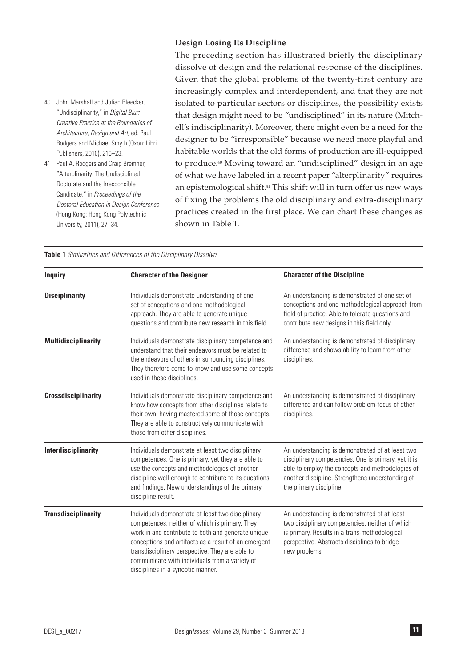- 40 John Marshall and Julian Bleecker, "Undisciplinarity," in Digital Blur: Creative Practice at the Boundaries of Architecture, Design and Art, ed. Paul Rodgers and Michael Smyth (Oxon: Libri Publishers, 2010), 216–23.
- 41 Paul A. Rodgers and Craig Bremner, "Alterplinarity: The Undisciplined Doctorate and the Irresponsible Candidate," in Proceedings of the Doctoral Education in Design Conference (Hong Kong: Hong Kong Polytechnic University, 2011), 27–34.

#### **Design Losing Its Discipline**

The preceding section has illustrated briefly the disciplinary dissolve of design and the relational response of the disciplines. Given that the global problems of the twenty-first century are increasingly complex and interdependent, and that they are not isolated to particular sectors or disciplines, the possibility exists that design might need to be "undisciplined" in its nature (Mitchell's indisciplinarity). Moreover, there might even be a need for the designer to be "irresponsible" because we need more playful and habitable worlds that the old forms of production are ill-equipped to produce.<sup>40</sup> Moving toward an "undisciplined" design in an age of what we have labeled in a recent paper "alterplinarity" requires an epistemological shift.<sup>41</sup> This shift will in turn offer us new ways of fixing the problems the old disciplinary and extra-disciplinary practices created in the first place. We can chart these changes as shown in Table 1.

| <b>Inquiry</b>             | <b>Character of the Designer</b>                                                                                                                                                                                                                                                                                                                            | <b>Character of the Discipline</b>                                                                                                                                                                                                          |
|----------------------------|-------------------------------------------------------------------------------------------------------------------------------------------------------------------------------------------------------------------------------------------------------------------------------------------------------------------------------------------------------------|---------------------------------------------------------------------------------------------------------------------------------------------------------------------------------------------------------------------------------------------|
| <b>Disciplinarity</b>      | Individuals demonstrate understanding of one<br>set of conceptions and one methodological<br>approach. They are able to generate unique<br>questions and contribute new research in this field.                                                                                                                                                             | An understanding is demonstrated of one set of<br>conceptions and one methodological approach from<br>field of practice. Able to tolerate questions and<br>contribute new designs in this field only.                                       |
| <b>Multidisciplinarity</b> | Individuals demonstrate disciplinary competence and<br>understand that their endeavors must be related to<br>the endeavors of others in surrounding disciplines.<br>They therefore come to know and use some concepts<br>used in these disciplines.                                                                                                         | An understanding is demonstrated of disciplinary<br>difference and shows ability to learn from other<br>disciplines.                                                                                                                        |
| <b>Crossdisciplinarity</b> | Individuals demonstrate disciplinary competence and<br>know how concepts from other disciplines relate to<br>their own, having mastered some of those concepts.<br>They are able to constructively communicate with<br>those from other disciplines.                                                                                                        | An understanding is demonstrated of disciplinary<br>difference and can follow problem-focus of other<br>disciplines.                                                                                                                        |
| Interdisciplinarity        | Individuals demonstrate at least two disciplinary<br>competences. One is primary, yet they are able to<br>use the concepts and methodologies of another<br>discipline well enough to contribute to its questions<br>and findings. New understandings of the primary<br>discipline result.                                                                   | An understanding is demonstrated of at least two<br>disciplinary competencies. One is primary, yet it is<br>able to employ the concepts and methodologies of<br>another discipline. Strengthens understanding of<br>the primary discipline. |
| <b>Transdisciplinarity</b> | Individuals demonstrate at least two disciplinary<br>competences, neither of which is primary. They<br>work in and contribute to both and generate unique<br>conceptions and artifacts as a result of an emergent<br>transdisciplinary perspective. They are able to<br>communicate with individuals from a variety of<br>disciplines in a synoptic manner. | An understanding is demonstrated of at least<br>two disciplinary competencies, neither of which<br>is primary. Results in a trans-methodological<br>perspective. Abstracts disciplines to bridge<br>new problems.                           |

**Table 1** Similarities and Differences of the Disciplinary Dissolve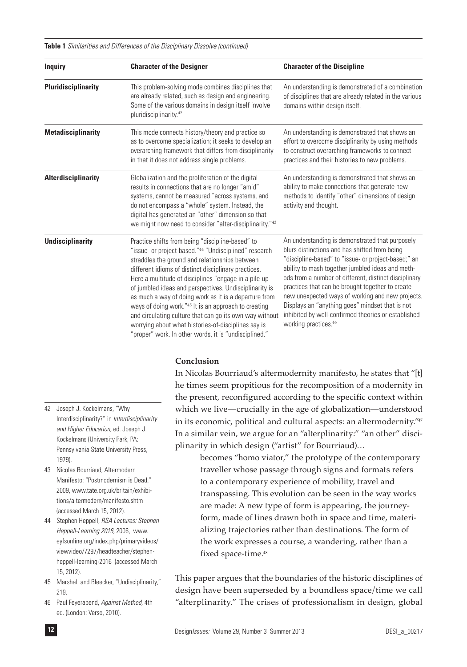**Table 1** Similarities and Differences of the Disciplinary Dissolve (continued)

| <b>Inquiry</b>             | <b>Character of the Designer</b>                                                                                                                                                                                                                                                                                                                                                                                                                                                                                                                                                                                                              | <b>Character of the Discipline</b>                                                                                                                                                                                                                                                                                                                                                                                                                                                                                         |
|----------------------------|-----------------------------------------------------------------------------------------------------------------------------------------------------------------------------------------------------------------------------------------------------------------------------------------------------------------------------------------------------------------------------------------------------------------------------------------------------------------------------------------------------------------------------------------------------------------------------------------------------------------------------------------------|----------------------------------------------------------------------------------------------------------------------------------------------------------------------------------------------------------------------------------------------------------------------------------------------------------------------------------------------------------------------------------------------------------------------------------------------------------------------------------------------------------------------------|
| Pluridisciplinarity        | This problem-solving mode combines disciplines that<br>are already related, such as design and engineering.<br>Some of the various domains in design itself involve<br>pluridisciplinarity. <sup>42</sup>                                                                                                                                                                                                                                                                                                                                                                                                                                     | An understanding is demonstrated of a combination<br>of disciplines that are already related in the various<br>domains within design itself.                                                                                                                                                                                                                                                                                                                                                                               |
| <b>Metadisciplinarity</b>  | This mode connects history/theory and practice so<br>as to overcome specialization; it seeks to develop an<br>overarching framework that differs from disciplinarity<br>in that it does not address single problems.                                                                                                                                                                                                                                                                                                                                                                                                                          | An understanding is demonstrated that shows an<br>effort to overcome disciplinarity by using methods<br>to construct overarching frameworks to connect<br>practices and their histories to new problems.                                                                                                                                                                                                                                                                                                                   |
| <b>Alterdisciplinarity</b> | Globalization and the proliferation of the digital<br>results in connections that are no longer "amid"<br>systems, cannot be measured "across systems, and<br>do not encompass a "whole" system. Instead, the<br>digital has generated an "other" dimension so that<br>we might now need to consider "alter-disciplinarity."43                                                                                                                                                                                                                                                                                                                | An understanding is demonstrated that shows an<br>ability to make connections that generate new<br>methods to identify "other" dimensions of design<br>activity and thought.                                                                                                                                                                                                                                                                                                                                               |
| <b>Undisciplinarity</b>    | Practice shifts from being "discipline-based" to<br>"issue- or project-based." <sup>44</sup> "Undisciplined" research<br>straddles the ground and relationships between<br>different idioms of distinct disciplinary practices.<br>Here a multitude of disciplines "engage in a pile-up<br>of jumbled ideas and perspectives. Undisciplinarity is<br>as much a way of doing work as it is a departure from<br>ways of doing work."45 It is an approach to creating<br>and circulating culture that can go its own way without<br>worrying about what histories-of-disciplines say is<br>"proper" work. In other words, it is "undisciplined." | An understanding is demonstrated that purposely<br>blurs distinctions and has shifted from being<br>"discipline-based" to "issue- or project-based;" an<br>ability to mash together jumbled ideas and meth-<br>ods from a number of different, distinct disciplinary<br>practices that can be brought together to create<br>new unexpected ways of working and new projects.<br>Displays an "anything goes" mindset that is not<br>inhibited by well-confirmed theories or established<br>working practices. <sup>46</sup> |

#### **Conclusion**

- 42 Joseph J. Kockelmans, "Why Interdisciplinarity?" in Interdisciplinarity and Higher Education, ed. Joseph J. Kockelmans (University Park, PA: Pennsylvania State University Press, 1979).
- 43 Nicolas Bourriaud, Altermodern Manifesto: "Postmodernism is Dead," 2009, www.tate.org.uk/britain/exhibitions/altermodern/manifesto.shtm (accessed March 15, 2012).
- 44 Stephen Heppell, RSA Lectures: Stephen Heppell-Learning 2016, 2006, www. eyfsonline.org/index.php/primaryvideos/ viewvideo/7297/headteacher/stephenheppell-learning-2016 (accessed March 15, 2012).
- 45 Marshall and Bleecker, "Undisciplinarity," 219.
- 46 Paul Feyerabend, Against Method, 4th ed. (London: Verso, 2010).

In Nicolas Bourriaud's altermodernity manifesto, he states that "[t] he times seem propitious for the recomposition of a modernity in the present, reconfigured according to the specific context within which we live—crucially in the age of globalization—understood in its economic, political and cultural aspects: an altermodernity."47 In a similar vein, we argue for an "alterplinarity:" "an other" disciplinarity in which design ("artist" for Bourriaud)…

 becomes "homo viator," the prototype of the contemporary traveller whose passage through signs and formats refers to a contemporary experience of mobility, travel and transpassing. This evolution can be seen in the way works are made: A new type of form is appearing, the journey form, made of lines drawn both in space and time, materi alizing trajectories rather than destinations. The form of the work expresses a course, a wandering, rather than a fixed space-time.<sup>48</sup>

This paper argues that the boundaries of the historic disciplines of design have been superseded by a boundless space/time we call "alterplinarity." The crises of professionalism in design, global